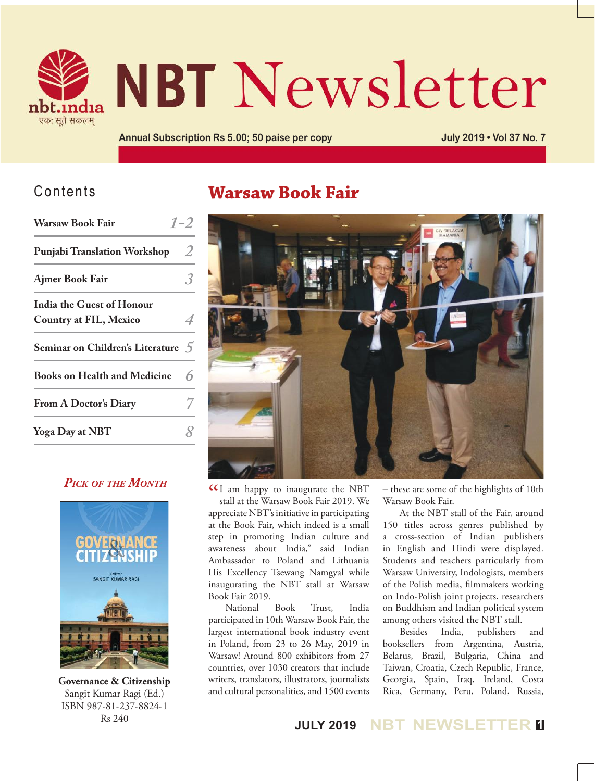

# **NBT Newsletter**

**Annual Subscription Rs 5.00; 50 paise per copy July 2019 • Vol 37 No. 7**

## Contents

| <b>Warsaw Book Fair</b>             | $1 - 2$ |
|-------------------------------------|---------|
| <b>Punjabi Translation Workshop</b> | Z       |
| Ajmer Book Fair                     |         |
| <b>India the Guest of Honour</b>    |         |
| <b>Country at FIL, Mexico</b>       |         |
| Seminar on Children's Literature 5  |         |
| <b>Books on Health and Medicine</b> |         |
| <b>From A Doctor's Diary</b>        |         |
| Yoga Day at NBT                     |         |

### *Pick of the Month*



**Governance & Citizenship** Sangit Kumar Ragi (Ed.) ISBN 987-81-237-8824-1 Rs 240

## **Warsaw Book Fair**



**CC** am happy to inaugurate the NBT<br>stall at the Warsaw Book Fair 2019. We stall at the Warsaw Book Fair 2019. We appreciate NBT's initiative in participating at the Book Fair, which indeed is a small step in promoting Indian culture and awareness about India," said Indian Ambassador to Poland and Lithuania His Excellency Tsewang Namgyal while inaugurating the NBT stall at Warsaw Book Fair 2019.

National Book Trust, India participated in 10th Warsaw Book Fair, the largest international book industry event in Poland, from 23 to 26 May, 2019 in Warsaw! Around 800 exhibitors from 27 countries, over 1030 creators that include writers, translators, illustrators, journalists and cultural personalities, and 1500 events – these are some of the highlights of 10th Warsaw Book Fair.

At the NBT stall of the Fair, around 150 titles across genres published by a cross-section of Indian publishers in English and Hindi were displayed. Students and teachers particularly from Warsaw University, Indologists, members of the Polish media, filmmakers working on Indo-Polish joint projects, researchers on Buddhism and Indian political system among others visited the NBT stall.

Besides India, publishers and booksellers from Argentina, Austria, Belarus, Brazil, Bulgaria, China and Taiwan, Croatia, Czech Republic, France, Georgia, Spain, Iraq, Ireland, Costa Rica, Germany, Peru, Poland, Russia,

**JULY 2019 NBT NEWSLETTER <sup>1</sup>**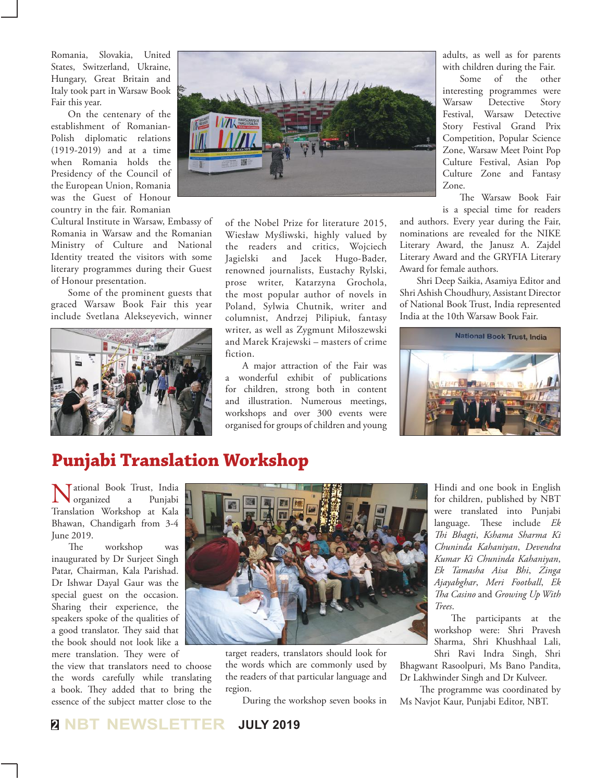Romania, Slovakia, United States, Switzerland, Ukraine, Hungary, Great Britain and Italy took part in Warsaw Book Fair this year.

On the centenary of the establishment of Romanian-Polish diplomatic relations (1919-2019) and at a time when Romania holds the Presidency of the Council of the European Union, Romania was the Guest of Honour country in the fair. Romanian

Cultural Institute in Warsaw, Embassy of Romania in Warsaw and the Romanian Ministry of Culture and National Identity treated the visitors with some literary programmes during their Guest of Honour presentation.

Some of the prominent guests that graced Warsaw Book Fair this year include Svetlana Alekseyevich, winner





of the Nobel Prize for literature 2015, Wiesław Myśliwski, highly valued by the readers and critics, Wojciech Jagielski and Jacek Hugo-Bader, renowned journalists, Eustachy Rylski, prose writer, Katarzyna Grochola, the most popular author of novels in Poland, Sylwia Chutnik, writer and columnist, Andrzej Pilipiuk, fantasy writer, as well as Zygmunt Miłoszewski and Marek Krajewski – masters of crime fiction.

A major attraction of the Fair was a wonderful exhibit of publications for children, strong both in content and illustration. Numerous meetings, workshops and over 300 events were organised for groups of children and young adults, as well as for parents with children during the Fair.

Some of the other interesting programmes were Warsaw Detective Story Festival, Warsaw Detective Story Festival Grand Prix Competition, Popular Science Zone, Warsaw Meet Point Pop Culture Festival, Asian Pop Culture Zone and Fantasy Zone.

The Warsaw Book Fair is a special time for readers

and authors. Every year during the Fair, nominations are revealed for the NIKE Literary Award, the Janusz A. Zajdel Literary Award and the GRYFIA Literary Award for female authors.

Shri Deep Saikia, Asamiya Editor and Shri Ashish Choudhury, Assistant Director of National Book Trust, India represented India at the 10th Warsaw Book Fair.



## **Punjabi Translation Workshop**

**Valid Book Trust, India**<br>organized a Punjabi organized Translation Workshop at Kala Bhawan, Chandigarh from 3-4 June 2019.

The workshop was inaugurated by Dr Surjeet Singh Patar, Chairman, Kala Parishad. Dr Ishwar Dayal Gaur was the special guest on the occasion. Sharing their experience, the speakers spoke of the qualities of a good translator. They said that the book should not look like a mere translation. They were of

the view that translators need to choose the words carefully while translating a book. They added that to bring the essence of the subject matter close to the



target readers, translators should look for the words which are commonly used by the readers of that particular language and region.

During the workshop seven books in

Hindi and one book in English for children, published by NBT were translated into Punjabi language. These include *Ek Thi Bhagti*, *Kshama Sharma Ki Chuninda Kahaniyan*, *Devendra Kumar Ki Chuninda Kahaniyan*, *Ek Tamasha Aisa Bhi*, *Zinga Ajayabghar*, *Meri Football*, *Ek Tha Casino* and *Growing Up With Trees*.

The participants at the workshop were: Shri Pravesh Sharma, Shri Khushhaal Lali,

Shri Ravi Indra Singh, Shri Bhagwant Rasoolpuri, Ms Bano Pandita, Dr Lakhwinder Singh and Dr Kulveer.

 The programme was coordinated by Ms Navjot Kaur, Punjabi Editor, NBT.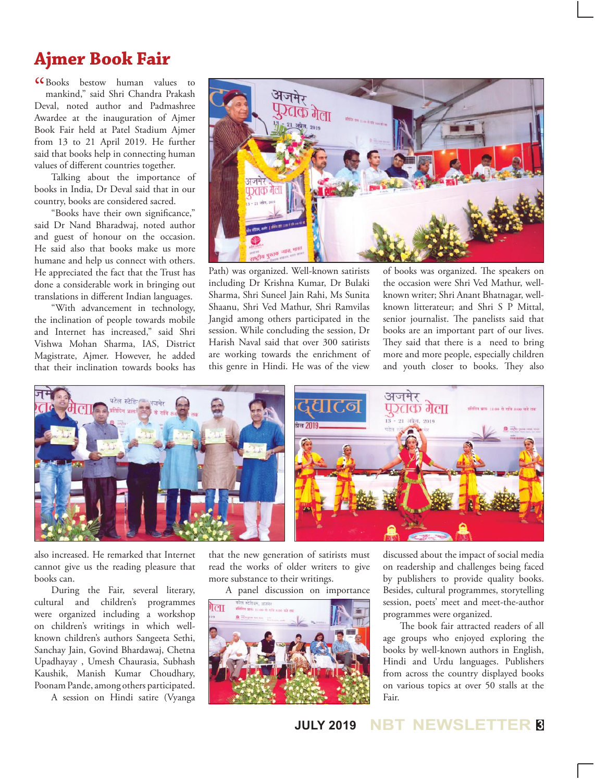## **Ajmer Book Fair**

CCBooks bestow human values to<br>mankind," said Shri Chandra Prakash mankind," said Shri Chandra Prakash Deval, noted author and Padmashree Awardee at the inauguration of Ajmer Book Fair held at Patel Stadium Ajmer from 13 to 21 April 2019. He further said that books help in connecting human values of different countries together.

Talking about the importance of books in India, Dr Deval said that in our country, books are considered sacred.

"Books have their own significance," said Dr Nand Bharadwaj, noted author and guest of honour on the occasion. He said also that books make us more humane and help us connect with others. He appreciated the fact that the Trust has done a considerable work in bringing out translations in different Indian languages.

"With advancement in technology, the inclination of people towards mobile and Internet has increased," said Shri Vishwa Mohan Sharma, IAS, District Magistrate, Ajmer. However, he added that their inclination towards books has



Path) was organized. Well-known satirists including Dr Krishna Kumar, Dr Bulaki Sharma, Shri Suneel Jain Rahi, Ms Sunita Shaanu, Shri Ved Mathur, Shri Ramvilas Jangid among others participated in the session. While concluding the session, Dr Harish Naval said that over 300 satirists are working towards the enrichment of this genre in Hindi. He was of the view

of books was organized. The speakers on the occasion were Shri Ved Mathur, wellknown writer; Shri Anant Bhatnagar, wellknown litterateur; and Shri S P Mittal, senior journalist. The panelists said that books are an important part of our lives. They said that there is a need to bring more and more people, especially children and youth closer to books. They also



also increased. He remarked that Internet cannot give us the reading pleasure that books can.

During the Fair, several literary, cultural and children's programmes were organized including a workshop on children's writings in which wellknown children's authors Sangeeta Sethi, Sanchay Jain, Govind Bhardawaj, Chetna Upadhayay , Umesh Chaurasia, Subhash Kaushik, Manish Kumar Choudhary, Poonam Pande, among others participated.

A session on Hindi satire (Vyanga

that the new generation of satirists must read the works of older writers to give more substance to their writings.

A panel discussion on importance



discussed about the impact of social media on readership and challenges being faced by publishers to provide quality books. Besides, cultural programmes, storytelling session, poets' meet and meet-the-author programmes were organized.

The book fair attracted readers of all age groups who enjoyed exploring the books by well-known authors in English, Hindi and Urdu languages. Publishers from across the country displayed books on various topics at over 50 stalls at the Fair.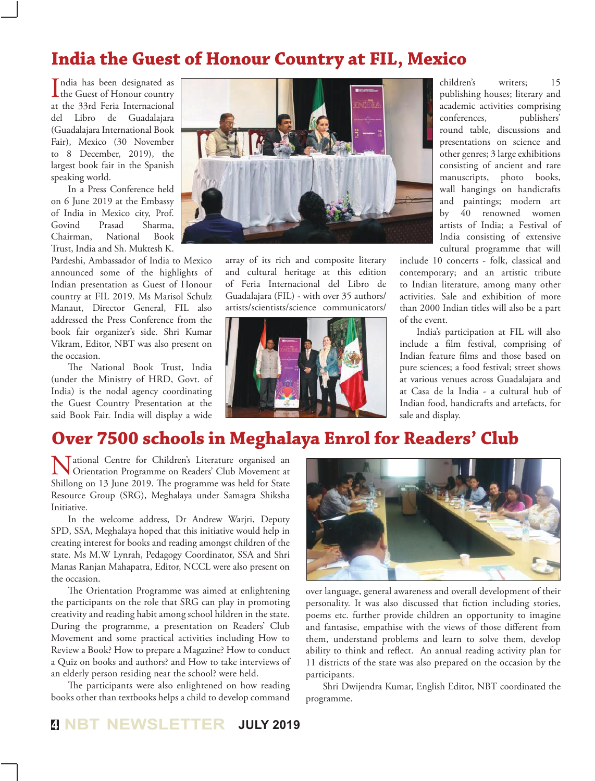## **India the Guest of Honour Country at FIL, Mexico**

India has been designated as<br>the Guest of Honour country ndia has been designated as at the 33rd Feria Internacional del Libro de Guadalajara (Guadalajara International Book Fair), Mexico (30 November to 8 December, 2019), the largest book fair in the Spanish speaking world.

In a Press Conference held on 6 June 2019 at the Embassy of India in Mexico city, Prof. Govind Prasad Sharma, Chairman, National Book Trust, India and Sh. Muktesh K.

Pardeshi, Ambassador of India to Mexico announced some of the highlights of Indian presentation as Guest of Honour country at FIL 2019. Ms Marisol Schulz Manaut, Director General, FIL also addressed the Press Conference from the book fair organizer's side. Shri Kumar Vikram, Editor, NBT was also present on the occasion.

The National Book Trust, India (under the Ministry of HRD, Govt. of India) is the nodal agency coordinating the Guest Country Presentation at the said Book Fair. India will display a wide



array of its rich and composite literary and cultural heritage at this edition of Feria Internacional del Libro de Guadalajara (FIL) - with over 35 authors/ artists/scientists/science communicators/



children's writers; 15 publishing houses; literary and academic activities comprising conferences, publishers' round table, discussions and presentations on science and other genres; 3 large exhibitions consisting of ancient and rare manuscripts, photo books, wall hangings on handicrafts and paintings; modern art by 40 renowned women artists of India; a Festival of India consisting of extensive cultural programme that will

include 10 concerts - folk, classical and contemporary; and an artistic tribute to Indian literature, among many other activities. Sale and exhibition of more than 2000 Indian titles will also be a part of the event.

India's participation at FIL will also include a film festival, comprising of Indian feature films and those based on pure sciences; a food festival; street shows at various venues across Guadalajara and at Casa de la India - a cultural hub of Indian food, handicrafts and artefacts, for sale and display.

## **Over 7500 schools in Meghalaya Enrol for Readers' Club**

National Centre for Children's Literature organised an<br>Orientation Programme on Readers' Club Movement at Shillong on 13 June 2019. The programme was held for State Resource Group (SRG), Meghalaya under Samagra Shiksha Initiative.

In the welcome address, Dr Andrew Warjri, Deputy SPD, SSA, Meghalaya hoped that this initiative would help in creating interest for books and reading amongst children of the state. Ms M.W Lynrah, Pedagogy Coordinator, SSA and Shri Manas Ranjan Mahapatra, Editor, NCCL were also present on the occasion.

The Orientation Programme was aimed at enlightening the participants on the role that SRG can play in promoting creativity and reading habit among school hildren in the state. During the programme, a presentation on Readers' Club Movement and some practical activities including How to Review a Book? How to prepare a Magazine? How to conduct a Quiz on books and authors? and How to take interviews of an elderly person residing near the school? were held.

The participants were also enlightened on how reading books other than textbooks helps a child to develop command



over language, general awareness and overall development of their personality. It was also discussed that fiction including stories, poems etc. further provide children an opportunity to imagine and fantasise, empathise with the views of those different from them, understand problems and learn to solve them, develop ability to think and reflect. An annual reading activity plan for 11 districts of the state was also prepared on the occasion by the participants.

Shri Dwijendra Kumar, English Editor, NBT coordinated the programme.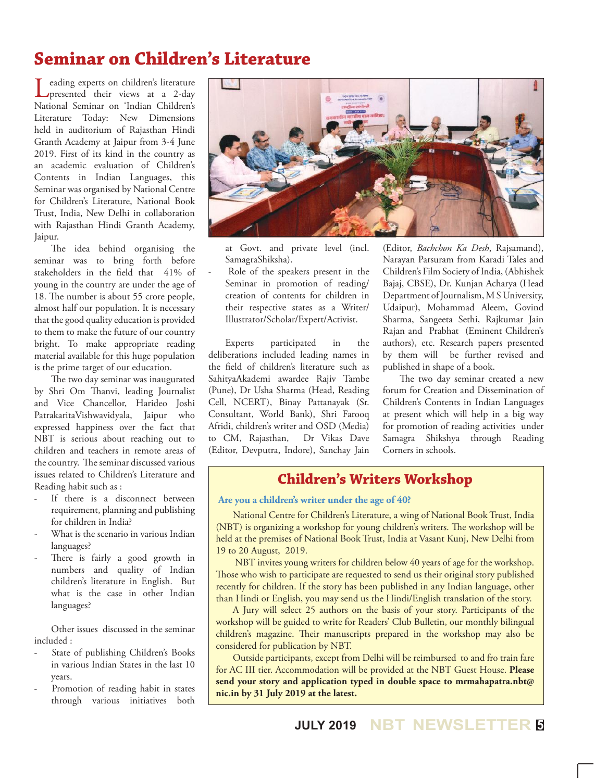## **Seminar on Children's Literature**

Leading experts on children's literature<br>
presented their views at a 2-day National Seminar on 'Indian Children's Literature Today: New Dimensions held in auditorium of Rajasthan Hindi Granth Academy at Jaipur from 3-4 June 2019. First of its kind in the country as an academic evaluation of Children's Contents in Indian Languages, this Seminar was organised by National Centre for Children's Literature, National Book Trust, India, New Delhi in collaboration with Rajasthan Hindi Granth Academy, Jaipur.

The idea behind organising the seminar was to bring forth before stakeholders in the field that 41% of young in the country are under the age of 18. The number is about 55 crore people, almost half our population. It is necessary that the good quality education is provided to them to make the future of our country bright. To make appropriate reading material available for this huge population is the prime target of our education.

The two day seminar was inaugurated by Shri Om Thanvi, leading Journalist and Vice Chancellor, Harideo Joshi PatrakaritaVishwavidyala, Jaipur who expressed happiness over the fact that NBT is serious about reaching out to children and teachers in remote areas of the country. The seminar discussed various issues related to Children's Literature and Reading habit such as :

- If there is a disconnect between requirement, planning and publishing for children in India?
- What is the scenario in various Indian languages?
- There is fairly a good growth in numbers and quality of Indian children's literature in English. But what is the case in other Indian languages?

Other issues discussed in the seminar included :

- State of publishing Children's Books in various Indian States in the last 10 years.
- Promotion of reading habit in states through various initiatives both



at Govt. and private level (incl. SamagraShiksha).

Role of the speakers present in the Seminar in promotion of reading/ creation of contents for children in their respective states as a Writer/ Illustrator/Scholar/Expert/Activist.

Experts participated in the deliberations included leading names in the field of children's literature such as SahityaAkademi awardee Rajiv Tambe (Pune), Dr Usha Sharma (Head, Reading Cell, NCERT), Binay Pattanayak (Sr. Consultant, World Bank), Shri Farooq Afridi, children's writer and OSD (Media) to CM, Rajasthan, Dr Vikas Dave (Editor, Devputra, Indore), Sanchay Jain (Editor, *Bachchon Ka Desh*, Rajsamand), Narayan Parsuram from Karadi Tales and Children's Film Society of India, (Abhishek Bajaj, CBSE), Dr. Kunjan Acharya (Head Department of Journalism, M S University, Udaipur), Mohammad Aleem, Govind Sharma, Sangeeta Sethi, Rajkumar Jain Rajan and Prabhat (Eminent Children's authors), etc. Research papers presented by them will be further revised and published in shape of a book.

The two day seminar created a new forum for Creation and Dissemination of Children's Contents in Indian Languages at present which will help in a big way for promotion of reading activities under Samagra Shikshya through Reading Corners in schools.

## **Children's Writers Workshop**

#### **Are you a children's writer under the age of 40?**

National Centre for Children's Literature, a wing of National Book Trust, India (NBT) is organizing a workshop for young children's writers. The workshop will be held at the premises of National Book Trust, India at Vasant Kunj, New Delhi from 19 to 20 August, 2019.

 NBT invites young writers for children below 40 years of age for the workshop. Those who wish to participate are requested to send us their original story published recently for children. If the story has been published in any Indian language, other than Hindi or English, you may send us the Hindi/English translation of the story.

A Jury will select 25 authors on the basis of your story. Participants of the workshop will be guided to write for Readers' Club Bulletin, our monthly bilingual children's magazine. Their manuscripts prepared in the workshop may also be considered for publication by NBT.

Outside participants, except from Delhi will be reimbursed to and fro train fare for AC III tier. Accommodation will be provided at the NBT Guest House. **Please send your story and application typed in double space to mrmahapatra.nbt@ nic.in by 31 July 2019 at the latest.**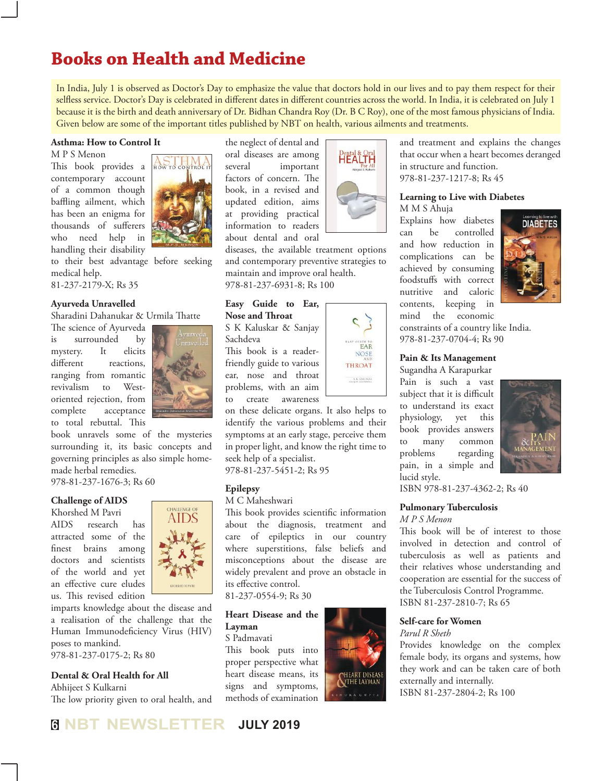## **Books on Health and Medicine**

In India, July 1 is observed as Doctor's Day to emphasize the value that doctors hold in our lives and to pay them respect for their selfless service. Doctor's Day is celebrated in different dates in different countries across the world. In India, it is celebrated on July 1 because it is the birth and death anniversary of Dr. Bidhan Chandra Roy (Dr. B C Roy), one of the most famous physicians of India. Given below are some of the important titles published by NBT on health, various ailments and treatments.

#### **Asthma: How to Control It**

M P S Menon

This book provides a contemporary account of a common though baffling ailment, which has been an enigma for thousands of sufferers who need help in handling their disability to their best advantage before seeking medical help.



#### **Ayurveda Unravelled**

Sharadini Dahanukar & Urmila Thatte

The science of Ayurveda is surrounded by mystery. It elicits different reactions, ranging from romantic revivalism to Westoriented rejection, from complete acceptance to total rebuttal. This



book unravels some of the mysteries surrounding it, its basic concepts and governing principles as also simple homemade herbal remedies.

978-81-237-1676-3; Rs 60

#### **Challenge of AIDS**

Khorshed M Pavri AIDS research has attracted some of the finest brains among doctors and scientists of the world and yet an effective cure eludes us. This revised edition



imparts knowledge about the disease and a realisation of the challenge that the Human Immunodeficiency Virus (HIV) poses to mankind.

978-81-237-0175-2; Rs 80

#### **Dental & Oral Health for All**

Abhijeet S Kulkarni The low priority given to oral health, and

the neglect of dental and oral diseases are among several important factors of concern. The book, in a revised and updated edition, aims at providing practical information to readers about dental and oral



**EAR NOSI THROAT** S. E. EMUSEAR

diseases, the available treatment options and contemporary preventive strategies to maintain and improve oral health. 978-81-237-6931-8; Rs 100

#### **Easy Guide to Ear, Nose and Throat**

S K Kaluskar & Sanjay Sachdeva

This book is a readerfriendly guide to various ear, nose and throat problems, with an aim to create awareness

on these delicate organs. It also helps to identify the various problems and their symptoms at an early stage, perceive them in proper light, and know the right time to seek help of a specialist.

978-81-237-5451-2; Rs 95

#### **Epilepsy**

M C Maheshwari

This book provides scientific information about the diagnosis, treatment and care of epileptics in our country where superstitions, false beliefs and misconceptions about the disease are widely prevalent and prove an obstacle in its effective control.

81-237-0554-9; Rs 30

#### **Heart Disease and the Layman**

S Padmavati This book puts into proper perspective what heart disease means, its signs and symptoms, methods of examination





#### **Learning to Live with Diabetes** M M S Ahuja

Explains how diabetes can be controlled and how reduction in complications can be achieved by consuming foodstuffs with correct nutritive and caloric contents, keeping in mind the economic



constraints of a country like India. 978-81-237-0704-4; Rs 90

#### **Pain & Its Management**

Sugandha A Karapurkar Pain is such a vast subject that it is difficult to understand its exact physiology, yet this book provides answers to many common problems regarding pain, in a simple and lucid style.



ISBN 978-81-237-4362-2; Rs 40

#### **Pulmonary Tuberculosis**

#### *M P S Menon*

This book will be of interest to those involved in detection and control of tuberculosis as well as patients and their relatives whose understanding and cooperation are essential for the success of the Tuberculosis Control Programme. ISBN 81-237-2810-7; Rs 65

#### **Self-care for Women**

*Parul R Sheth*

Provides knowledge on the complex female body, its organs and systems, how they work and can be taken care of both externally and internally. ISBN 81-237-2804-2; Rs 100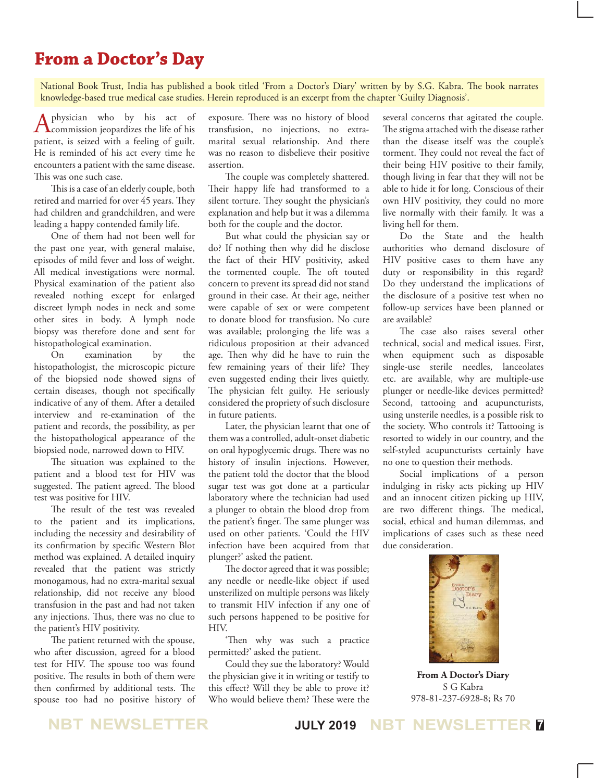## **From a Doctor's Day**

National Book Trust, India has published a book titled 'From a Doctor's Diary' written by by S.G. Kabra. The book narrates knowledge-based true medical case studies. Herein reproduced is an excerpt from the chapter 'Guilty Diagnosis'.

A physician who by his act of commission jeopardizes the life of his patient, is seized with a feeling of guilt. He is reminded of his act every time he encounters a patient with the same disease. This was one such case.

This is a case of an elderly couple, both retired and married for over 45 years. They had children and grandchildren, and were leading a happy contended family life.

One of them had not been well for the past one year, with general malaise, episodes of mild fever and loss of weight. All medical investigations were normal. Physical examination of the patient also revealed nothing except for enlarged discreet lymph nodes in neck and some other sites in body. A lymph node biopsy was therefore done and sent for histopathological examination.

On examination by the histopathologist, the microscopic picture of the biopsied node showed signs of certain diseases, though not specifically indicative of any of them. After a detailed interview and re-examination of the patient and records, the possibility, as per the histopathological appearance of the biopsied node, narrowed down to HIV.

The situation was explained to the patient and a blood test for HIV was suggested. The patient agreed. The blood test was positive for HIV.

The result of the test was revealed to the patient and its implications, including the necessity and desirability of its confirmation by specific Western Blot method was explained. A detailed inquiry revealed that the patient was strictly monogamous, had no extra-marital sexual relationship, did not receive any blood transfusion in the past and had not taken any injections. Thus, there was no clue to the patient's HIV positivity.

The patient returned with the spouse, who after discussion, agreed for a blood test for HIV. The spouse too was found positive. The results in both of them were then confirmed by additional tests. The spouse too had no positive history of exposure. There was no history of blood transfusion, no injections, no extramarital sexual relationship. And there was no reason to disbelieve their positive assertion.

The couple was completely shattered. Their happy life had transformed to a silent torture. They sought the physician's explanation and help but it was a dilemma both for the couple and the doctor.

But what could the physician say or do? If nothing then why did he disclose the fact of their HIV positivity, asked the tormented couple. The oft touted concern to prevent its spread did not stand ground in their case. At their age, neither were capable of sex or were competent to donate blood for transfusion. No cure was available; prolonging the life was a ridiculous proposition at their advanced age. Then why did he have to ruin the few remaining years of their life? They even suggested ending their lives quietly. The physician felt guilty. He seriously considered the propriety of such disclosure in future patients.

Later, the physician learnt that one of them was a controlled, adult-onset diabetic on oral hypoglycemic drugs. There was no history of insulin injections. However, the patient told the doctor that the blood sugar test was got done at a particular laboratory where the technician had used a plunger to obtain the blood drop from the patient's finger. The same plunger was used on other patients. 'Could the HIV infection have been acquired from that plunger?' asked the patient.

The doctor agreed that it was possible; any needle or needle-like object if used unsterilized on multiple persons was likely to transmit HIV infection if any one of such persons happened to be positive for HIV.

'Then why was such a practice permitted?' asked the patient.

Could they sue the laboratory? Would the physician give it in writing or testify to this effect? Will they be able to prove it? Who would believe them? These were the

several concerns that agitated the couple. The stigma attached with the disease rather than the disease itself was the couple's torment. They could not reveal the fact of their being HIV positive to their family, though living in fear that they will not be able to hide it for long. Conscious of their own HIV positivity, they could no more live normally with their family. It was a living hell for them.

Do the State and the health authorities who demand disclosure of HIV positive cases to them have any duty or responsibility in this regard? Do they understand the implications of the disclosure of a positive test when no follow-up services have been planned or are available?

The case also raises several other technical, social and medical issues. First, when equipment such as disposable single-use sterile needles, lanceolates etc. are available, why are multiple-use plunger or needle-like devices permitted? Second, tattooing and acupuncturists, using unsterile needles, is a possible risk to the society. Who controls it? Tattooing is resorted to widely in our country, and the self-styled acupuncturists certainly have no one to question their methods.

Social implications of a person indulging in risky acts picking up HIV and an innocent citizen picking up HIV, are two different things. The medical, social, ethical and human dilemmas, and implications of cases such as these need due consideration.



**From A Doctor's Diary** S G Kabra 978-81-237-6928-8; Rs 70

**NBT NEWSLETTER JULY 2019 NBT NEWSLETTER <sup>7</sup>**